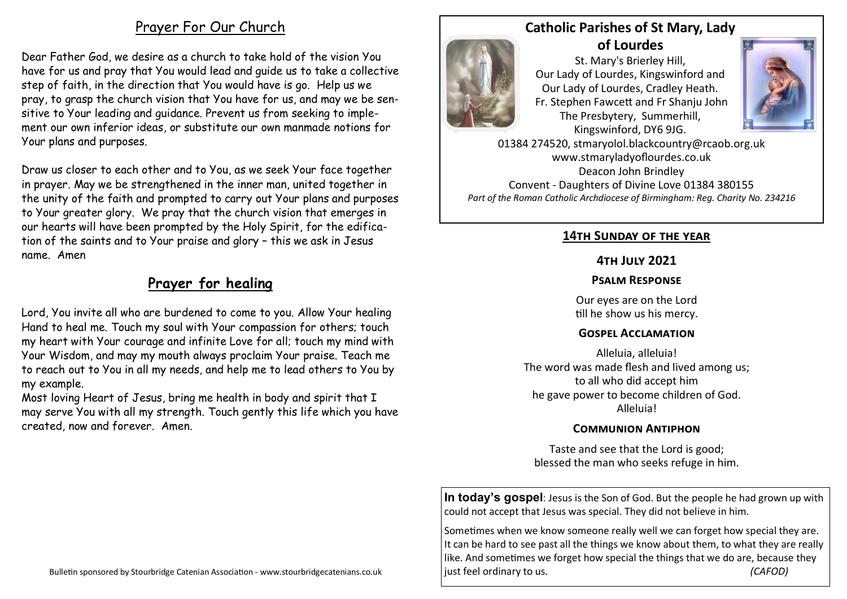# [Prayer For Our Church](https://prayer.knowing-jesus.com/prayer/prayer-for-church-vision-1497)

Dear Father God, we desire as a church to take hold of the vision You have for us and pray that You would lead and guide us to take a collective step of faith, in the direction that You would have is go. Help us we pray, to grasp the church vision that You have for us, and may we be sensitive to Your leading and guidance. Prevent us from seeking to implement our own inferior ideas, or substitute our own manmade notions for Your plans and purposes.

Draw us closer to each other and to You, as we seek Your face together in prayer. May we be strengthened in the inner man, united together in the unity of the faith and prompted to carry out Your plans and purposes to Your greater glory. We pray that the church vision that emerges in our hearts will have been prompted by the Holy Spirit, for the edification of the saints and to Your praise and glory – this we ask in Jesus name. Amen

# **Prayer for healing**

Lord, You invite all who are burdened to come to you. Allow Your healing Hand to heal me. Touch my soul with Your compassion for others; touch my heart with Your courage and infinite Love for all; touch my mind with Your Wisdom, and may my mouth always proclaim Your praise. Teach me to reach out to You in all my needs, and help me to lead others to You by my example.

Most loving Heart of Jesus, bring me health in body and spirit that I may serve You with all my strength. Touch gently this life which you have created, now and forever. Amen.

## **Catholic Parishes of St Mary, Lady of Lourdes**

St. Mary's Brierley Hill, Our Lady of Lourdes, Kingswinford and Our Lady of Lourdes, Cradley Heath. Fr. Stephen Fawcett and Fr Shanju John The Presbytery, Summerhill, Kingswinford, DY6 9JG.



01384 274520, stmaryolol.blackcountry@rcaob.org.uk www.stmaryladyoflourdes.co.uk Deacon John Brindley Convent - Daughters of Divine Love 01384 380155 *Part of the Roman Catholic Archdiocese of Birmingham: Reg. Charity No. 234216*

### **14th Sunday of the year**

### **4th July 2021**

### **Psalm Response**

Our eyes are on the Lord till he show us his mercy.

### **Gospel Acclamation**

Alleluia, alleluia! The word was made flesh and lived among us; to all who did accept him he gave power to become children of God. Alleluia!

### **Communion Antiphon**

Taste and see that the Lord is good; blessed the man who seeks refuge in him.

**In today's gospel**: Jesus is the Son of God. But the people he had grown up with could not accept that Jesus was special. They did not believe in him.

Sometimes when we know someone really well we can forget how special they are. It can be hard to see past all the things we know about them, to what they are really like. And sometimes we forget how special the things that we do are, because they just feel ordinary to us*. (CAFOD)*